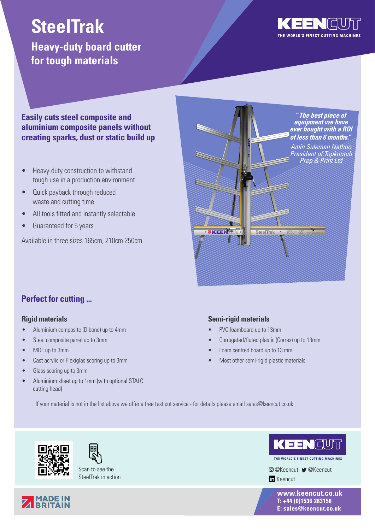## **SteelTrak**

### **Heavy-duty board cutter for tough materials**



#### **Easily cuts steel composite and aluminium composite panels without creating sparks, dust or static build up**

- Heavy-duty construction to withstand tough use in a production environment
- Quick payback through reduced waste and cutting time
- All tools fitted and instantly selectable
- Guaranteed for 5 years

Available in three sizes 165cm, 210cm 250cm



#### **Perfect for cutting ...**

#### **Rigid materials**

- Aluminium composite (Dibond) up to 4mm
- Steel composite panel up to 3mm
- MDF up to 3mm
- Cast acrylic or Plexiglas scoring up to 3mm
- Glass scoring up to 3mm
- Aluminium sheet up to 1mm (with optional STALC cutting head)

#### **Semi-rigid materials**

- PVC foamboard up to 13mm
- Corrugated/fluted plastic (Correx) up to 13mm
- Foam centred board up to 13 mm
- Most other semi-rigid plastic materials

If your material is not in the list above we offer a free test cut service - for details please email sales@keencut.co.uk





Scan to see the SteelTrak in action



THE WORLD'S FINEST CUTTING MACHINES

@Keencut @Keencut **In** Keencut

> **www.keencut.co.uk T: +44 (0)1536 263158 E: sales@keencut.co.uk**